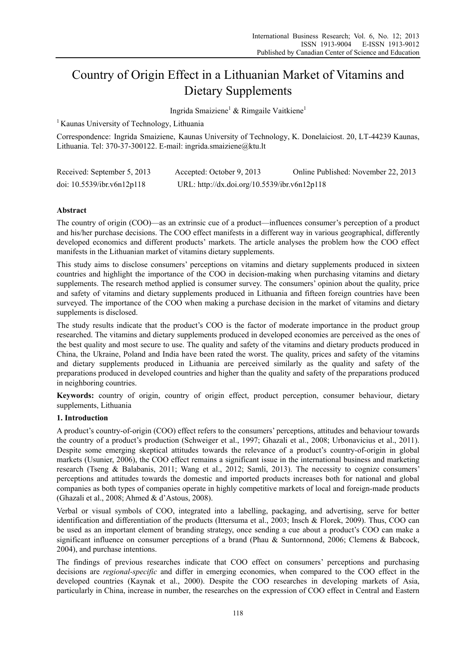# Country of Origin Effect in a Lithuanian Market of Vitamins and Dietary Supplements

Ingrida Smaiziene<sup>1</sup> & Rimgaile Vaitkiene<sup>1</sup>

<sup>1</sup> Kaunas University of Technology, Lithuania

Correspondence: Ingrida Smaiziene, Kaunas University of Technology, K. Donelaiciost. 20, LT-44239 Kaunas, Lithuania. Tel: 370-37-300122. E-mail: ingrida.smaiziene@ktu.lt

| Received: September 5, 2013   | Accepted: October 9, 2013                    | Online Published: November 22, 2013 |
|-------------------------------|----------------------------------------------|-------------------------------------|
| doi: $10.5539$ /ibr.v6n12p118 | URL: http://dx.doi.org/10.5539/ibr.v6n12p118 |                                     |

# **Abstract**

The country of origin (COO)—as an extrinsic cue of a product—influences consumer's perception of a product and his/her purchase decisions. The COO effect manifests in a different way in various geographical, differently developed economics and different products' markets. The article analyses the problem how the COO effect manifests in the Lithuanian market of vitamins dietary supplements.

This study aims to disclose consumers' perceptions on vitamins and dietary supplements produced in sixteen countries and highlight the importance of the COO in decision-making when purchasing vitamins and dietary supplements. The research method applied is consumer survey. The consumers' opinion about the quality, price and safety of vitamins and dietary supplements produced in Lithuania and fifteen foreign countries have been surveyed. The importance of the COO when making a purchase decision in the market of vitamins and dietary supplements is disclosed.

The study results indicate that the product's COO is the factor of moderate importance in the product group researched. The vitamins and dietary supplements produced in developed economies are perceived as the ones of the best quality and most secure to use. The quality and safety of the vitamins and dietary products produced in China, the Ukraine, Poland and India have been rated the worst. The quality, prices and safety of the vitamins and dietary supplements produced in Lithuania are perceived similarly as the quality and safety of the preparations produced in developed countries and higher than the quality and safety of the preparations produced in neighboring countries.

**Keywords:** country of origin, country of origin effect, product perception, consumer behaviour, dietary supplements, Lithuania

# **1. Introduction**

A product's country-of-origin (COO) effect refers to the consumers' perceptions, attitudes and behaviour towards the country of a product's production (Schweiger et al., 1997; Ghazali et al., 2008; Urbonavicius et al., 2011). Despite some emerging skeptical attitudes towards the relevance of a product's country-of-origin in global markets (Usunier, 2006), the COO effect remains a significant issue in the international business and marketing research (Tseng & Balabanis, 2011; Wang et al., 2012; Samli, 2013). The necessity to cognize consumers' perceptions and attitudes towards the domestic and imported products increases both for national and global companies as both types of companies operate in highly competitive markets of local and foreign-made products (Ghazali et al., 2008; Ahmed & d'Astous, 2008).

Verbal or visual symbols of COO, integrated into a labelling, packaging, and advertising, serve for better identification and differentiation of the products (Ittersuma et al., 2003; Insch & Florek, 2009). Thus, COO can be used as an important element of branding strategy, once sending a cue about a product's COO can make a significant influence on consumer perceptions of a brand (Phau & Suntornnond, 2006; Clemens & Babcock, 2004), and purchase intentions.

The findings of previous researches indicate that COO effect on consumers' perceptions and purchasing decisions are *regional-specific* and differ in emerging economies, when compared to the COO effect in the developed countries (Kaynak et al., 2000). Despite the COO researches in developing markets of Asia, particularly in China, increase in number, the researches on the expression of COO effect in Central and Eastern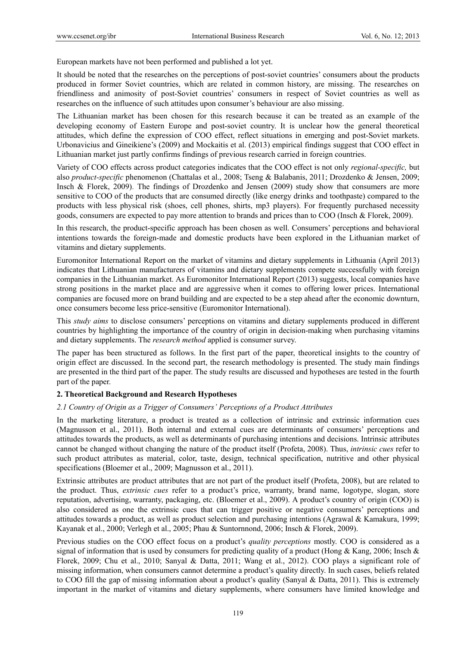European markets have not been performed and published a lot yet.

It should be noted that the researches on the perceptions of post-soviet countries' consumers about the products produced in former Soviet countries, which are related in common history, are missing. The researches on friendliness and animosity of post-Soviet countries' consumers in respect of Soviet countries as well as researches on the influence of such attitudes upon consumer's behaviour are also missing.

The Lithuanian market has been chosen for this research because it can be treated as an example of the developing economy of Eastern Europe and post-soviet country. It is unclear how the general theoretical attitudes, which define the expression of COO effect, reflect situations in emerging and post-Soviet markets. Urbonavicius and Gineikiene's (2009) and Mockaitis et al. (2013) empirical findings suggest that COO effect in Lithuanian market just partly confirms findings of previous research carried in foreign countries.

Variety of COO effects across product categories indicates that the COO effect is not only *regional-specific,* but also *product-specific* phenomenon (Chattalas et al., 2008; Tseng & Balabanis, 2011; Drozdenko & Jensen, 2009; Insch & Florek, 2009). The findings of Drozdenko and Jensen (2009) study show that consumers are more sensitive to COO of the products that are consumed directly (like energy drinks and toothpaste) compared to the products with less physical risk (shoes, cell phones, shirts, mp3 players). For frequently purchased necessity goods, consumers are expected to pay more attention to brands and prices than to COO (Insch & Florek, 2009).

In this research, the product-specific approach has been chosen as well. Consumers' perceptions and behavioral intentions towards the foreign-made and domestic products have been explored in the Lithuanian market of vitamins and dietary supplements.

Euromonitor International Report on the market of vitamins and dietary supplements in Lithuania (April 2013) indicates that Lithuanian manufacturers of vitamins and dietary supplements compete successfully with foreign companies in the Lithuanian market. As Euromonitor International Report (2013) suggests, local companies have strong positions in the market place and are aggressive when it comes to offering lower prices. International companies are focused more on brand building and are expected to be a step ahead after the economic downturn, once consumers become less price-sensitive (Euromonitor International).

This *study aims* to disclose consumers' perceptions on vitamins and dietary supplements produced in different countries by highlighting the importance of the country of origin in decision-making when purchasing vitamins and dietary supplements. The *research method* applied is consumer survey.

The paper has been structured as follows. In the first part of the paper, theoretical insights to the country of origin effect are discussed. In the second part, the research methodology is presented. The study main findings are presented in the third part of the paper. The study results are discussed and hypotheses are tested in the fourth part of the paper.

## **2. Theoretical Background and Research Hypotheses**

## *2.1 Country of Origin as a Trigger of Consumers' Perceptions of a Product Attributes*

In the marketing literature, a product is treated as a collection of intrinsic and extrinsic information cues (Magnusson et al., 2011). Both internal and external cues are determinants of consumers' perceptions and attitudes towards the products, as well as determinants of purchasing intentions and decisions. Intrinsic attributes cannot be changed without changing the nature of the product itself (Profeta, 2008). Thus, *intrinsic cues* refer to such product attributes as material, color, taste, design, technical specification, nutritive and other physical specifications (Bloemer et al., 2009; Magnusson et al., 2011).

Extrinsic attributes are product attributes that are not part of the product itself (Profeta, 2008), but are related to the product. Thus, *extrinsic cues* refer to a product's price, warranty, brand name, logotype, slogan, store reputation, advertising, warranty, packaging, etc. (Bloemer et al., 2009). A product's country of origin (COO) is also considered as one the extrinsic cues that can trigger positive or negative consumers' perceptions and attitudes towards a product, as well as product selection and purchasing intentions (Agrawal & Kamakura, 1999; Kayanak et al., 2000; Verlegh et al., 2005; Phau & Suntornnond, 2006; Insch & Florek, 2009).

Previous studies on the COO effect focus on a product's *quality perceptions* mostly. COO is considered as a signal of information that is used by consumers for predicting quality of a product (Hong & Kang, 2006; Insch & Florek, 2009; Chu et al., 2010; Sanyal & Datta, 2011; Wang et al., 2012). COO plays a significant role of missing information, when consumers cannot determine a product's quality directly. In such cases, beliefs related to COO fill the gap of missing information about a product's quality (Sanyal & Datta, 2011). This is extremely important in the market of vitamins and dietary supplements, where consumers have limited knowledge and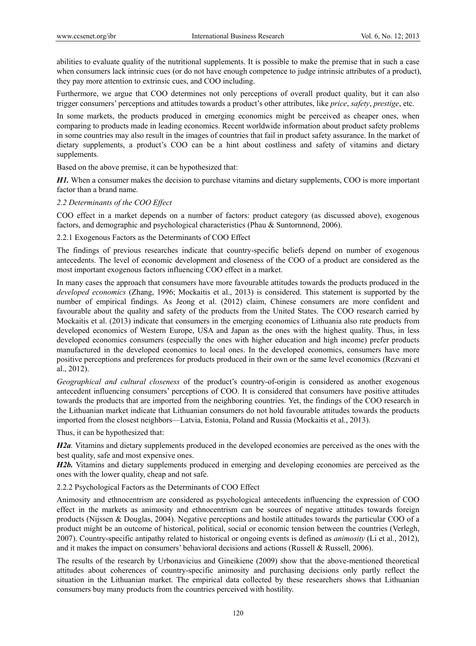abilities to evaluate quality of the nutritional supplements. It is possible to make the premise that in such a case when consumers lack intrinsic cues (or do not have enough competence to judge intrinsic attributes of a product), they pay more attention to extrinsic cues, and COO including.

Furthermore, we argue that COO determines not only perceptions of overall product quality, but it can also trigger consumers' perceptions and attitudes towards a product's other attributes, like *price*, *safety*, *prestige*, etc.

In some markets, the products produced in emerging economics might be perceived as cheaper ones, when comparing to products made in leading economics. Recent worldwide information about product safety problems in some countries may also result in the images of countries that fail in product safety assurance. In the market of dietary supplements, a product's COO can be a hint about costliness and safety of vitamins and dietary supplements.

Based on the above premise, it can be hypothesized that:

*H1*. When a consumer makes the decision to purchase vitamins and dietary supplements, COO is more important factor than a brand name.

## *2.2 Determinants of the COO Effect*

COO effect in a market depends on a number of factors: product category (as discussed above), exogenous factors, and demographic and psychological characteristics (Phau & Suntornnond, 2006).

2.2.1 Exogenous Factors as the Determinants of COO Effect

The findings of previous researches indicate that country-specific beliefs depend on number of exogenous antecedents. The level of economic development and closeness of the COO of a product are considered as the most important exogenous factors influencing COO effect in a market.

In many cases the approach that consumers have more favourable attitudes towards the products produced in the *developed economics* (Zhang, 1996; Mockaitis et al., 2013) is considered. This statement is supported by the number of empirical findings. As Jeong et al. (2012) claim, Chinese consumers are more confident and favourable about the quality and safety of the products from the United States. The COO research carried by Mockaitis et al. (2013) indicate that consumers in the emerging economics of Lithuania also rate products from developed economics of Western Europe, USA and Japan as the ones with the highest quality. Thus, in less developed economics consumers (especially the ones with higher education and high income) prefer products manufactured in the developed economics to local ones. In the developed economics, consumers have more positive perceptions and preferences for products produced in their own or the same level economics (Rezvani et al., 2012).

*Geographical and cultural closeness* of the product's country-of-origin is considered as another exogenous antecedent influencing consumers' perceptions of COO. It is considered that consumers have positive attitudes towards the products that are imported from the neighboring countries. Yet, the findings of the COO research in the Lithuanian market indicate that Lithuanian consumers do not hold favourable attitudes towards the products imported from the closest neighbors—Latvia, Estonia, Poland and Russia (Mockaitis et al., 2013).

Thus, it can be hypothesized that:

*H2a*. Vitamins and dietary supplements produced in the developed economies are perceived as the ones with the best quality, safe and most expensive ones.

*H2b.* Vitamins and dietary supplements produced in emerging and developing economies are perceived as the ones with the lower quality, cheap and not safe.

2.2.2 Psychological Factors as the Determinants of COO Effect

Animosity and ethnocentrism are considered as psychological antecedents influencing the expression of COO effect in the markets as animosity and ethnocentrism can be sources of negative attitudes towards foreign products (Nijssen & Douglas, 2004). Negative perceptions and hostile attitudes towards the particular COO of a product might be an outcome of historical, political, social or economic tension between the countries (Verlegh, 2007). Country-specific antipathy related to historical or ongoing events is defined as *animosity* (Li et al., 2012), and it makes the impact on consumers' behavioral decisions and actions (Russell & Russell, 2006).

The results of the research by Urbonavicius and Gineikiene (2009) show that the above-mentioned theoretical attitudes about coherences of country-specific animosity and purchasing decisions only partly reflect the situation in the Lithuanian market. The empirical data collected by these researchers shows that Lithuanian consumers buy many products from the countries perceived with hostility.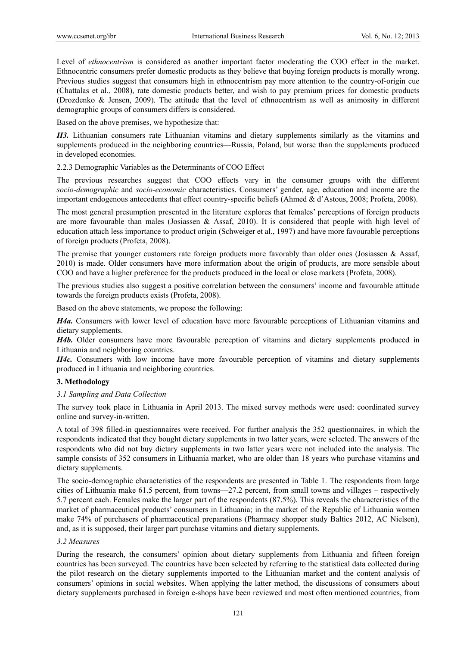Level of *ethnocentrism* is considered as another important factor moderating the COO effect in the market. Ethnocentric consumers prefer domestic products as they believe that buying foreign products is morally wrong. Previous studies suggest that consumers high in ethnocentrism pay more attention to the country-of-origin cue (Chattalas et al., 2008), rate domestic products better, and wish to pay premium prices for domestic products (Drozdenko & Jensen, 2009). The attitude that the level of ethnocentrism as well as animosity in different demographic groups of consumers differs is considered.

Based on the above premises, we hypothesize that:

*H3.* Lithuanian consumers rate Lithuanian vitamins and dietary supplements similarly as the vitamins and supplements produced in the neighboring countries—Russia, Poland, but worse than the supplements produced in developed economies.

2.2.3 Demographic Variables as the Determinants of COO Effect

The previous researches suggest that COO effects vary in the consumer groups with the different *socio-demographic* and *socio-economic* characteristics. Consumers' gender, age, education and income are the important endogenous antecedents that effect country-specific beliefs (Ahmed & d'Astous, 2008; Profeta, 2008).

The most general presumption presented in the literature explores that females' perceptions of foreign products are more favourable than males (Josiassen & Assaf, 2010). It is considered that people with high level of education attach less importance to product origin (Schweiger et al., 1997) and have more favourable perceptions of foreign products (Profeta, 2008).

The premise that younger customers rate foreign products more favorably than older ones (Josiassen  $\&$  Assaf, 2010) is made. Older consumers have more information about the origin of products, are more sensible about COO and have a higher preference for the products produced in the local or close markets (Profeta, 2008).

The previous studies also suggest a positive correlation between the consumers' income and favourable attitude towards the foreign products exists (Profeta, 2008).

Based on the above statements, we propose the following:

*H4a.* Consumers with lower level of education have more favourable perceptions of Lithuanian vitamins and dietary supplements.

*H4b.* Older consumers have more favourable perception of vitamins and dietary supplements produced in Lithuania and neighboring countries.

*H4c.* Consumers with low income have more favourable perception of vitamins and dietary supplements produced in Lithuania and neighboring countries.

# **3. Methodology**

# *3.1 Sampling and Data Collection*

The survey took place in Lithuania in April 2013. The mixed survey methods were used: coordinated survey online and survey-in-written.

A total of 398 filled-in questionnaires were received. For further analysis the 352 questionnaires, in which the respondents indicated that they bought dietary supplements in two latter years, were selected. The answers of the respondents who did not buy dietary supplements in two latter years were not included into the analysis. The sample consists of 352 consumers in Lithuania market, who are older than 18 years who purchase vitamins and dietary supplements.

The socio-demographic characteristics of the respondents are presented in Table 1. The respondents from large cities of Lithuania make 61.5 percent, from towns—27.2 percent, from small towns and villages – respectively 5.7 percent each. Females make the larger part of the respondents (87.5%). This reveals the characteristics of the market of pharmaceutical products' consumers in Lithuania; in the market of the Republic of Lithuania women make 74% of purchasers of pharmaceutical preparations (Pharmacy shopper study Baltics 2012, AC Nielsen), and, as it is supposed, their larger part purchase vitamins and dietary supplements.

## *3.2 Measures*

During the research, the consumers' opinion about dietary supplements from Lithuania and fifteen foreign countries has been surveyed. The countries have been selected by referring to the statistical data collected during the pilot research on the dietary supplements imported to the Lithuanian market and the content analysis of consumers' opinions in social websites. When applying the latter method, the discussions of consumers about dietary supplements purchased in foreign e-shops have been reviewed and most often mentioned countries, from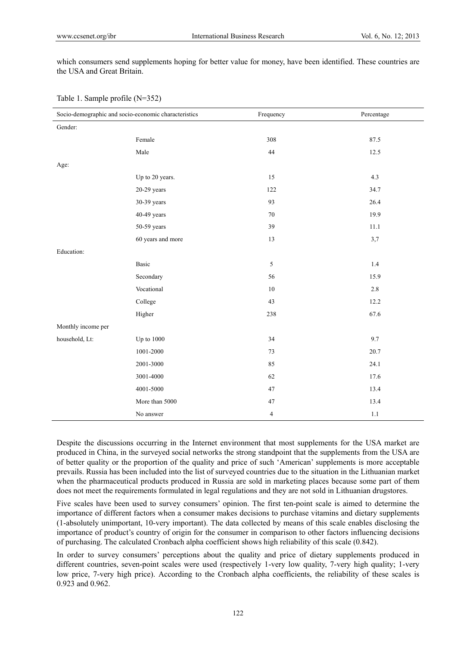which consumers send supplements hoping for better value for money, have been identified. These countries are the USA and Great Britain.

| Socio-demographic and socio-economic characteristics |                   | Frequency      | Percentage |
|------------------------------------------------------|-------------------|----------------|------------|
| Gender:                                              |                   |                |            |
|                                                      | Female            | 308            | 87.5       |
|                                                      | Male              | 44             | 12.5       |
| Age:                                                 |                   |                |            |
|                                                      | Up to 20 years.   | 15             | 4.3        |
|                                                      | $20-29$ years     | 122            | 34.7       |
|                                                      | 30-39 years       | 93             | 26.4       |
|                                                      | 40-49 years       | $70\,$         | 19.9       |
|                                                      | 50-59 years       | 39             | 11.1       |
|                                                      | 60 years and more | 13             | 3,7        |
| Education:                                           |                   |                |            |
|                                                      | Basic             | 5              | 1.4        |
|                                                      | Secondary         | 56             | 15.9       |
|                                                      | Vocational        | $10\,$         | $2.8\,$    |
|                                                      | College           | 43             | 12.2       |
|                                                      | Higher            | 238            | 67.6       |
| Monthly income per                                   |                   |                |            |
| household, Lt:                                       | <b>Up to 1000</b> | 34             | 9.7        |
|                                                      | 1001-2000         | 73             | 20.7       |
|                                                      | 2001-3000         | 85             | 24.1       |
|                                                      | 3001-4000         | 62             | 17.6       |
|                                                      | 4001-5000         | 47             | 13.4       |
|                                                      | More than 5000    | $47\,$         | 13.4       |
|                                                      | No answer         | $\overline{4}$ | 1.1        |

Despite the discussions occurring in the Internet environment that most supplements for the USA market are produced in China, in the surveyed social networks the strong standpoint that the supplements from the USA are of better quality or the proportion of the quality and price of such 'American' supplements is more acceptable prevails. Russia has been included into the list of surveyed countries due to the situation in the Lithuanian market when the pharmaceutical products produced in Russia are sold in marketing places because some part of them does not meet the requirements formulated in legal regulations and they are not sold in Lithuanian drugstores.

Five scales have been used to survey consumers' opinion. The first ten-point scale is aimed to determine the importance of different factors when a consumer makes decisions to purchase vitamins and dietary supplements (1-absolutely unimportant, 10-very important). The data collected by means of this scale enables disclosing the importance of product's country of origin for the consumer in comparison to other factors influencing decisions of purchasing. The calculated Cronbach alpha coefficient shows high reliability of this scale (0.842).

In order to survey consumers' perceptions about the quality and price of dietary supplements produced in different countries, seven-point scales were used (respectively 1-very low quality, 7-very high quality; 1-very low price, 7-very high price). According to the Cronbach alpha coefficients, the reliability of these scales is 0.923 and 0.962.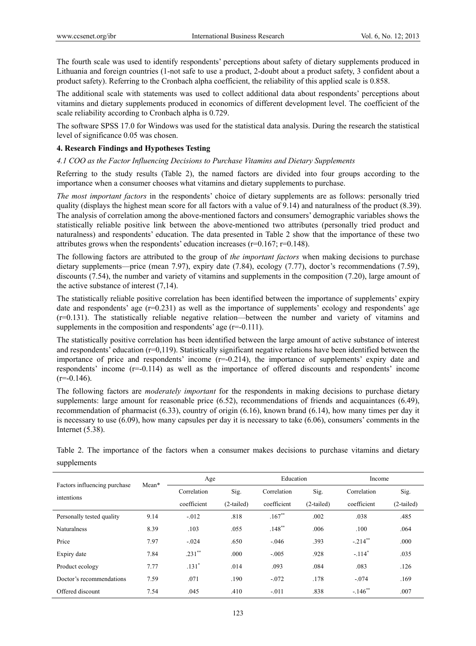The fourth scale was used to identify respondents' perceptions about safety of dietary supplements produced in Lithuania and foreign countries (1-not safe to use a product, 2-doubt about a product safety, 3 confident about a product safety). Referring to the Cronbach alpha coefficient, the reliability of this applied scale is 0.858.

The additional scale with statements was used to collect additional data about respondents' perceptions about vitamins and dietary supplements produced in economics of different development level. The coefficient of the scale reliability according to Cronbach alpha is 0.729.

The software SPSS 17.0 for Windows was used for the statistical data analysis. During the research the statistical level of significance 0.05 was chosen.

## **4. Research Findings and Hypotheses Testing**

## *4.1 COO as the Factor Influencing Decisions to Purchase Vitamins and Dietary Supplements*

Referring to the study results (Table 2), the named factors are divided into four groups according to the importance when a consumer chooses what vitamins and dietary supplements to purchase.

*The most important factors* in the respondents' choice of dietary supplements are as follows: personally tried quality (displays the highest mean score for all factors with a value of 9.14) and naturalness of the product (8.39). The analysis of correlation among the above-mentioned factors and consumers' demographic variables shows the statistically reliable positive link between the above-mentioned two attributes (personally tried product and naturalness) and respondents' education. The data presented in Table 2 show that the importance of these two attributes grows when the respondents' education increases (r=0.167; r=0.148).

The following factors are attributed to the group of *the important factors* when making decisions to purchase dietary supplements—price (mean 7.97), expiry date (7.84), ecology (7.77), doctor's recommendations (7.59), discounts (7.54), the number and variety of vitamins and supplements in the composition (7.20), large amount of the active substance of interest (7,14).

The statistically reliable positive correlation has been identified between the importance of supplements' expiry date and respondents' age  $(r=0.231)$  as well as the importance of supplements' ecology and respondents' age (r=0.131). The statistically reliable negative relation—between the number and variety of vitamins and supplements in the composition and respondents' age  $(r=0.111)$ .

The statistically positive correlation has been identified between the large amount of active substance of interest and respondents' education  $(r=0,119)$ . Statistically significant negative relations have been identified between the importance of price and respondents' income (r=-0.214), the importance of supplements' expiry date and respondents' income (r=-0.114) as well as the importance of offered discounts and respondents' income  $(r=-0.146)$ .

The following factors are *moderately important* for the respondents in making decisions to purchase dietary supplements: large amount for reasonable price (6.52), recommendations of friends and acquaintances (6.49), recommendation of pharmacist (6.33), country of origin (6.16), known brand (6.14), how many times per day it is necessary to use (6.09), how many capsules per day it is necessary to take (6.06), consumers' comments in the Internet (5.38).

Table 2. The importance of the factors when a consumer makes decisions to purchase vitamins and dietary supplements

|                              | Mean* | Age         |              | Education   |              | Income                |              |
|------------------------------|-------|-------------|--------------|-------------|--------------|-----------------------|--------------|
| Factors influencing purchase |       | Correlation | Sig.         | Correlation | Sig.         | Correlation           | Sig.         |
| intentions                   |       | coefficient | $(2-tailed)$ | coefficient | $(2-tailed)$ | coefficient           | $(2-tailed)$ |
| Personally tested quality    | 9.14  | $-.012$     | .818         | $.167**$    | .002         | .038                  | .485         |
| <b>Naturalness</b>           | 8.39  | .103        | .055         | $.148$ **   | .006         | .100                  | .064         |
| Price                        | 7.97  | $-.024$     | .650         | $-.046$     | .393         | $-.214$ **            | .000         |
| Expiry date                  | 7.84  | $.231$ **   | .000         | $-.005$     | .928         | $-.114$ <sup>*</sup>  | .035         |
| Product ecology              | 7.77  | $.131*$     | .014         | .093        | .084         | .083                  | .126         |
| Doctor's recommendations     | 7.59  | .071        | .190         | $-.072$     | .178         | $-.074$               | .169         |
| Offered discount             | 7.54  | .045        | .410         | $-.011$     | .838         | $-.146$ <sup>**</sup> | .007         |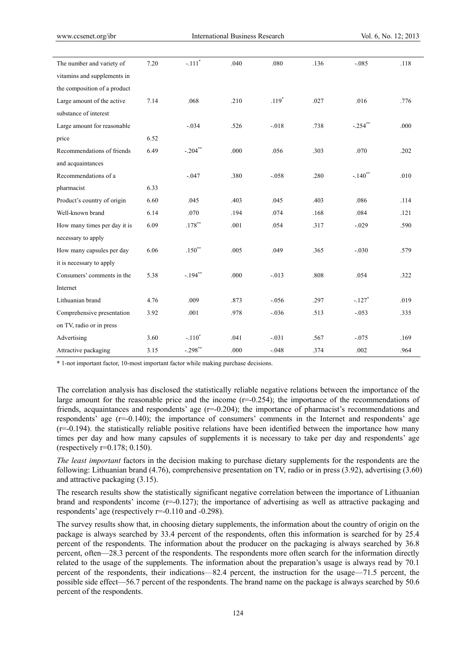| The number and variety of    | 7.20 | $\textbf{-.111}^{\ast}$ | .040 | .080     | .136 | $-.085$              | .118 |
|------------------------------|------|-------------------------|------|----------|------|----------------------|------|
| vitamins and supplements in  |      |                         |      |          |      |                      |      |
| the composition of a product |      |                         |      |          |      |                      |      |
| Large amount of the active   | 7.14 | .068                    | .210 | $.119*$  | .027 | .016                 | .776 |
| substance of interest        |      |                         |      |          |      |                      |      |
| Large amount for reasonable  |      | $-.034$                 | .526 | $-0.018$ | .738 | $-.254$ **           | .000 |
| price                        | 6.52 |                         |      |          |      |                      |      |
| Recommendations of friends   | 6.49 | $-.204$ **              | .000 | .056     | .303 | .070                 | .202 |
| and acquaintances            |      |                         |      |          |      |                      |      |
| Recommendations of a         |      | $-0.047$                | .380 | $-.058$  | .280 | $-.140$ **           | .010 |
| pharmacist                   | 6.33 |                         |      |          |      |                      |      |
| Product's country of origin  | 6.60 | .045                    | .403 | .045     | .403 | .086                 | .114 |
| Well-known brand             | 6.14 | .070                    | .194 | .074     | .168 | .084                 | .121 |
| How many times per day it is | 6.09 | $.178^{\ast\ast}$       | .001 | .054     | .317 | $-.029$              | .590 |
| necessary to apply           |      |                         |      |          |      |                      |      |
| How many capsules per day    | 6.06 | $.150**$                | .005 | .049     | .365 | $-.030$              | .579 |
| it is necessary to apply     |      |                         |      |          |      |                      |      |
| Consumers' comments in the   | 5.38 | $-.194$ **              | .000 | $-.013$  | .808 | .054                 | .322 |
| Internet                     |      |                         |      |          |      |                      |      |
| Lithuanian brand             | 4.76 | .009                    | .873 | $-.056$  | .297 | $-.127$ <sup>*</sup> | .019 |
| Comprehensive presentation   | 3.92 | .001                    | .978 | $-.036$  | .513 | $-.053$              | .335 |
| on TV, radio or in press     |      |                         |      |          |      |                      |      |
| Advertising                  | 3.60 | $-.110*$                | .041 | $-.031$  | .567 | $-.075$              | .169 |
| Attractive packaging         | 3.15 | $-.298$ **              | .000 | $-.048$  | .374 | .002                 | .964 |

**\*** 1-not important factor, 10-most important factor while making purchase decisions.

The correlation analysis has disclosed the statistically reliable negative relations between the importance of the large amount for the reasonable price and the income  $(r=0.254)$ ; the importance of the recommendations of friends, acquaintances and respondents' age  $(r=-0.204)$ ; the importance of pharmacist's recommendations and respondents' age (r=-0.140); the importance of consumers' comments in the Internet and respondents' age  $(r=0.194)$ . the statistically reliable positive relations have been identified between the importance how many times per day and how many capsules of supplements it is necessary to take per day and respondents' age (respectively r=0.178; 0.150).

*The least important* factors in the decision making to purchase dietary supplements for the respondents are the following: Lithuanian brand (4.76), comprehensive presentation on TV, radio or in press (3.92), advertising (3.60) and attractive packaging (3.15).

The research results show the statistically significant negative correlation between the importance of Lithuanian brand and respondents' income  $(r=0.127)$ ; the importance of advertising as well as attractive packaging and respondents' age (respectively r=-0.110 and -0.298).

The survey results show that, in choosing dietary supplements, the information about the country of origin on the package is always searched by 33.4 percent of the respondents, often this information is searched for by 25.4 percent of the respondents. The information about the producer on the packaging is always searched by 36.8 percent, often—28.3 percent of the respondents. The respondents more often search for the information directly related to the usage of the supplements. The information about the preparation's usage is always read by 70.1 percent of the respondents, their indications—82.4 percent, the instruction for the usage—71.5 percent, the possible side effect—56.7 percent of the respondents. The brand name on the package is always searched by 50.6 percent of the respondents.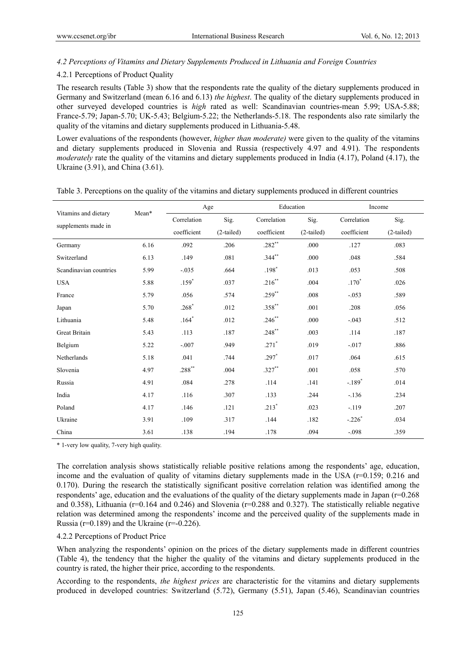# *4.2 Perceptions of Vitamins and Dietary Supplements Produced in Lithuania and Foreign Countries*

## 4.2.1 Perceptions of Product Quality

The research results (Table 3) show that the respondents rate the quality of the dietary supplements produced in Germany and Switzerland (mean 6.16 and 6.13) *the highest*. The quality of the dietary supplements produced in other surveyed developed countries is *high* rated as well: Scandinavian countries-mean 5.99; USA-5.88; France-5.79; Japan-5.70; UK-5.43; Belgium-5.22; the Netherlands-5.18. The respondents also rate similarly the quality of the vitamins and dietary supplements produced in Lithuania-5.48.

Lower evaluations of the respondents (however, *higher than moderate)* were given to the quality of the vitamins and dietary supplements produced in Slovenia and Russia (respectively 4.97 and 4.91). The respondents *moderately* rate the quality of the vitamins and dietary supplements produced in India (4.17), Poland (4.17), the Ukraine (3.91), and China (3.61).

| Vitamins and dietary   | Mean* |             | Age          |                     | Education    |             | Income       |  |
|------------------------|-------|-------------|--------------|---------------------|--------------|-------------|--------------|--|
| supplements made in    |       | Correlation | Sig.         | Sig.<br>Correlation |              | Correlation | Sig.         |  |
|                        |       | coefficient | $(2-tailed)$ | coefficient         | $(2-tailed)$ | coefficient | $(2-tailed)$ |  |
| Germany                | 6.16  | .092        | .206         | $.282**$            | .000         | .127        | .083         |  |
| Switzerland            | 6.13  | .149        | .081         | $.344***$           | .000         | .048        | .584         |  |
| Scandinavian countries | 5.99  | $-.035$     | .664         | $.198*$             | .013         | .053        | .508         |  |
| <b>USA</b>             | 5.88  | $.159*$     | .037         | $.216**$            | .004         | $.170*$     | .026         |  |
| France                 | 5.79  | .056        | .574         | $.259***$           | .008         | $-.053$     | .589         |  |
| Japan                  | 5.70  | $.268*$     | .012         | $.358***$           | .001         | .208        | .056         |  |
| Lithuania              | 5.48  | $.164*$     | .012         | $.246**$            | .000         | $-.043$     | .512         |  |
| Great Britain          | 5.43  | .113        | .187         | $.248***$           | .003         | .114        | .187         |  |
| Belgium                | 5.22  | $-.007$     | .949         | $.271*$             | .019         | $-.017$     | .886         |  |
| Netherlands            | 5.18  | .041        | .744         | $.297*$             | .017         | .064        | .615         |  |
| Slovenia               | 4.97  | $.288^{**}$ | .004         | $.327**$            | .001         | .058        | .570         |  |
| Russia                 | 4.91  | .084        | .278         | .114                | .141         | $-.189*$    | .014         |  |
| India                  | 4.17  | .116        | .307         | .133                | .244         | $-.136$     | .234         |  |
| Poland                 | 4.17  | .146        | .121         | $.213*$             | .023         | $-119$      | .207         |  |
| Ukraine                | 3.91  | .109        | .317         | .144                | .182         | $-.226*$    | .034         |  |
| China                  | 3.61  | .138        | .194         | .178                | .094         | $-.098$     | .359         |  |

Table 3. Perceptions on the quality of the vitamins and dietary supplements produced in different countries

\* 1-very low quality, 7-very high quality.

The correlation analysis shows statistically reliable positive relations among the respondents' age, education, income and the evaluation of quality of vitamins dietary supplements made in the USA  $(r=0.159; 0.216)$  and 0.170). During the research the statistically significant positive correlation relation was identified among the respondents' age, education and the evaluations of the quality of the dietary supplements made in Japan (r=0.268 and 0.358), Lithuania (r=0.164 and 0.246) and Slovenia (r=0.288 and 0.327). The statistically reliable negative relation was determined among the respondents' income and the perceived quality of the supplements made in Russia ( $r=0.189$ ) and the Ukraine ( $r=-0.226$ ).

#### 4.2.2 Perceptions of Product Price

When analyzing the respondents' opinion on the prices of the dietary supplements made in different countries (Table 4), the tendency that the higher the quality of the vitamins and dietary supplements produced in the country is rated, the higher their price, according to the respondents.

According to the respondents, *the highest prices* are characteristic for the vitamins and dietary supplements produced in developed countries: Switzerland (5.72), Germany (5.51), Japan (5.46), Scandinavian countries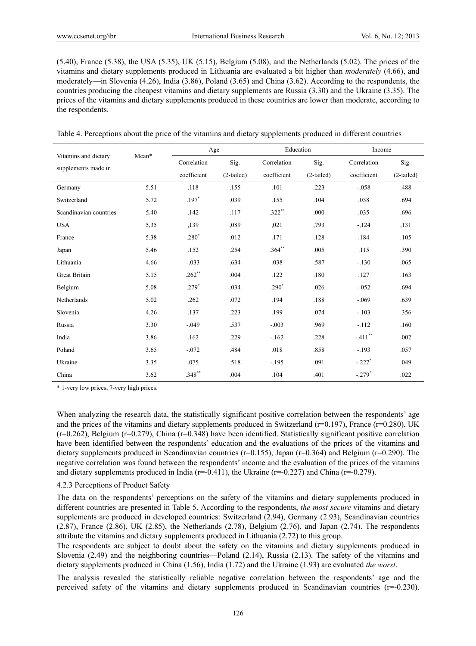$(5.40)$ , France  $(5.38)$ , the USA  $(5.35)$ , UK  $(5.15)$ , Belgium  $(5.08)$ , and the Netherlands  $(5.02)$ . The prices of the vitamins and dietary supplements produced in Lithuania are evaluated a bit higher than *moderately* (4.66), and moderately—in Slovenia (4.26), India (3.86), Poland (3.65) and China (3.62). According to the respondents, the countries producing the cheapest vitamins and dietary supplements are Russia (3.30) and the Ukraine (3.35). The prices of the vitamins and dietary supplements produced in these countries are lower than moderate, according to the respondents.

|  |  |  | Table 4. Perceptions about the price of the vitamins and dietary supplements produced in different countries |
|--|--|--|--------------------------------------------------------------------------------------------------------------|
|  |  |  |                                                                                                              |

| Vitamins and dietary   | Mean* | Age         |              | Education   |              | Income      |              |
|------------------------|-------|-------------|--------------|-------------|--------------|-------------|--------------|
| supplements made in    |       | Correlation | Sig.         | Correlation | Sig.         | Correlation | Sig.         |
|                        |       | coefficient | $(2-tailed)$ | coefficient | $(2-tailed)$ | coefficient | $(2-tailed)$ |
| Germany                | 5.51  | .118        | .155         | .101        | .223         | $-.058$     | .488         |
| Switzerland            | 5.72  | $.197*$     | .039         | .155        | .104         | .038        | .694         |
| Scandinavian countries | 5.40  | .142        | .117         | $.322**$    | .000         | .035        | .696         |
| <b>USA</b>             | 5,35  | ,139        | ,089         | ,021        | ,793         | $-124$      | ,131         |
| France                 | 5.38  | $.280*$     | .012         | .171        | .128         | .184        | .105         |
| Japan                  | 5.46  | .152        | .254         | $.364**$    | .005         | .115        | .390         |
| Lithuania              | 4.66  | $-.033$     | .634         | .038        | .587         | $-.130$     | .065         |
| <b>Great Britain</b>   | 5.15  | $.262**$    | .004         | .122        | .180         | .127        | .163         |
| Belgium                | 5.08  | $.279*$     | .034         | $.290*$     | .026         | $-.052$     | .694         |
| Netherlands            | 5.02  | .262        | .072         | .194        | .188         | $-.069$     | .639         |
| Slovenia               | 4.26  | .137        | .223         | .199        | .074         | $-.103$     | .356         |
| Russia                 | 3.30  | $-.049$     | .537         | $-.003$     | .969         | $-.112$     | .160         |
| India                  | 3.86  | .162        | .229         | $-162$      | .228         | $-.411$ **  | .002         |
| Poland                 | 3.65  | $-.072$     | .484         | .018        | .858         | $-.193$     | .057         |
| Ukraine                | 3.35  | .075        | .518         | $-.195$     | .091         | $-.227$ *   | .049         |
| China                  | 3.62  | $.348**$    | .004         | .104        | .401         | $-.279*$    | .022         |

\* 1-very low prices, 7-very high prices.

When analyzing the research data, the statistically significant positive correlation between the respondents' age and the prices of the vitamins and dietary supplements produced in Switzerland (r=0.197), France (r=0.280), UK  $(r=0.262)$ , Belgium  $(r=0.279)$ , China  $(r=0.348)$  have been identified. Statistically significant positive correlation have been identified between the respondents' education and the evaluations of the prices of the vitamins and dietary supplements produced in Scandinavian countries (r=0.155), Japan (r=0.364) and Belgium (r=0.290). The negative correlation was found between the respondents' income and the evaluation of the prices of the vitamins and dietary supplements produced in India  $(r=0.411)$ , the Ukraine  $(r=0.227)$  and China  $(r=0.279)$ .

#### 4.2.3 Perceptions of Product Safety

The data on the respondents' perceptions on the safety of the vitamins and dietary supplements produced in different countries are presented in Table 5. According to the respondents, *the most secure* vitamins and dietary supplements are produced in developed countries: Switzerland (2.94), Germany (2.93), Scandinavian countries  $(2.87)$ , France  $(2.86)$ , UK  $(2.85)$ , the Netherlands  $(2.78)$ , Belgium  $(2.76)$ , and Japan  $(2.74)$ . The respondents attribute the vitamins and dietary supplements produced in Lithuania (2.72) to this group.

The respondents are subject to doubt about the safety on the vitamins and dietary supplements produced in Slovenia (2.49) and the neighboring countries—Poland (2.14), Russia (2.13). The safety of the vitamins and dietary supplements produced in China (1.56), India (1.72) and the Ukraine (1.93) are evaluated *the worst*.

The analysis revealed the statistically reliable negative correlation between the respondents' age and the perceived safety of the vitamins and dietary supplements produced in Scandinavian countries (r=-0.230).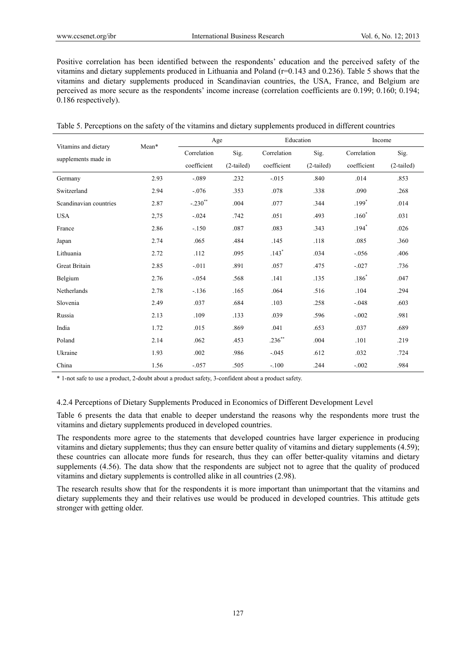Positive correlation has been identified between the respondents' education and the perceived safety of the vitamins and dietary supplements produced in Lithuania and Poland (r=0.143 and 0.236). Table 5 shows that the vitamins and dietary supplements produced in Scandinavian countries, the USA, France, and Belgium are perceived as more secure as the respondents' income increase (correlation coefficients are 0.199; 0.160; 0.194; 0.186 respectively).

| Vitamins and dietary   | Mean* | Age         |              | Education   |              | Income      |              |
|------------------------|-------|-------------|--------------|-------------|--------------|-------------|--------------|
|                        |       | Correlation | Sig.         | Correlation | Sig.         | Correlation | Sig.         |
| supplements made in    |       | coefficient | $(2-tailed)$ | coefficient | $(2-tailed)$ | coefficient | $(2-tailed)$ |
| Germany                | 2.93  | $-.089$     | .232         | $-0.015$    | .840         | .014        | .853         |
| Switzerland            | 2.94  | $-.076$     | .353         | .078        | .338         | .090        | .268         |
| Scandinavian countries | 2.87  | $-.230$ **  | .004         | .077        | .344         | $.199*$     | .014         |
| <b>USA</b>             | 2,75  | $-.024$     | .742         | .051        | .493         | $.160*$     | .031         |
| France                 | 2.86  | $-150$      | .087         | .083        | .343         | $.194*$     | .026         |
| Japan                  | 2.74  | .065        | .484         | .145        | .118         | .085        | .360         |
| Lithuania              | 2.72  | .112        | .095         | $.143*$     | .034         | $-0.056$    | .406         |
| <b>Great Britain</b>   | 2.85  | $-.011$     | .891         | .057        | .475         | $-.027$     | .736         |
| Belgium                | 2.76  | $-0.054$    | .568         | .141        | .135         | $.186*$     | .047         |
| Netherlands            | 2.78  | $-.136$     | .165         | .064        | .516         | .104        | .294         |
| Slovenia               | 2.49  | .037        | .684         | .103        | .258         | $-.048$     | .603         |
| Russia                 | 2.13  | .109        | .133         | .039        | .596         | $-.002$     | .981         |
| India                  | 1.72  | .015        | .869         | .041        | .653         | .037        | .689         |
| Poland                 | 2.14  | .062        | .453         | $.236***$   | .004         | .101        | .219         |
| Ukraine                | 1.93  | .002        | .986         | $-0.045$    | .612         | .032        | .724         |
| China                  | 1.56  | $-.057$     | .505         | $-.100$     | .244         | $-.002$     | .984         |

Table 5. Perceptions on the safety of the vitamins and dietary supplements produced in different countries

\* 1-not safe to use a product, 2-doubt about a product safety, 3-confident about a product safety.

## 4.2.4 Perceptions of Dietary Supplements Produced in Economics of Different Development Level

Table 6 presents the data that enable to deeper understand the reasons why the respondents more trust the vitamins and dietary supplements produced in developed countries.

The respondents more agree to the statements that developed countries have larger experience in producing vitamins and dietary supplements; thus they can ensure better quality of vitamins and dietary supplements (4.59); these countries can allocate more funds for research, thus they can offer better-quality vitamins and dietary supplements (4.56). The data show that the respondents are subject not to agree that the quality of produced vitamins and dietary supplements is controlled alike in all countries (2.98).

The research results show that for the respondents it is more important than unimportant that the vitamins and dietary supplements they and their relatives use would be produced in developed countries. This attitude gets stronger with getting older.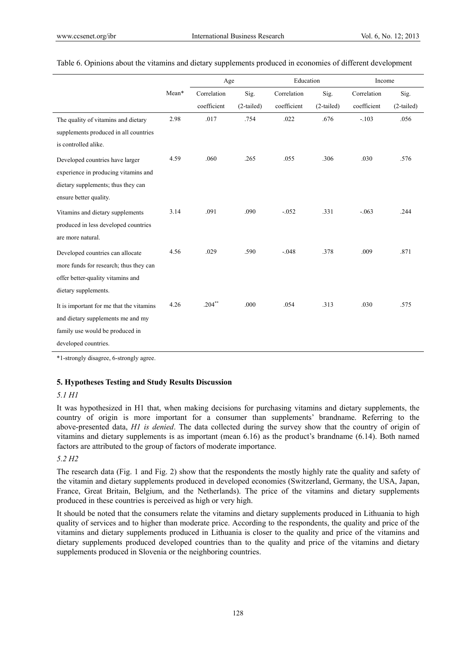|                                          |       | Age         |              | Education   |              | Income      |              |
|------------------------------------------|-------|-------------|--------------|-------------|--------------|-------------|--------------|
|                                          | Mean* | Correlation | Sig.         | Correlation | Sig.         | Correlation | Sig.         |
|                                          |       | coefficient | $(2-tailed)$ | coefficient | $(2-tailed)$ | coefficient | $(2-tailed)$ |
| The quality of vitamins and dietary      | 2.98  | .017        | .754         | .022        | .676         | $-.103$     | .056         |
| supplements produced in all countries    |       |             |              |             |              |             |              |
| is controlled alike.                     |       |             |              |             |              |             |              |
| Developed countries have larger          | 4.59  | .060        | .265         | .055        | .306         | .030        | .576         |
| experience in producing vitamins and     |       |             |              |             |              |             |              |
| dietary supplements; thus they can       |       |             |              |             |              |             |              |
| ensure better quality.                   |       |             |              |             |              |             |              |
| Vitamins and dietary supplements         | 3.14  | .091        | .090         | $-.052$     | .331         | $-.063$     | .244         |
| produced in less developed countries     |       |             |              |             |              |             |              |
| are more natural.                        |       |             |              |             |              |             |              |
| Developed countries can allocate         | 4.56  | .029        | .590         | $-.048$     | .378         | .009        | .871         |
| more funds for research; thus they can   |       |             |              |             |              |             |              |
| offer better-quality vitamins and        |       |             |              |             |              |             |              |
| dietary supplements.                     |       |             |              |             |              |             |              |
| It is important for me that the vitamins | 4.26  | $.204***$   | .000         | .054        | .313         | .030        | .575         |
| and dietary supplements me and my        |       |             |              |             |              |             |              |
| family use would be produced in          |       |             |              |             |              |             |              |
| developed countries.                     |       |             |              |             |              |             |              |

## Table 6. Opinions about the vitamins and dietary supplements produced in economies of different development

\*1-strongly disagree, 6-strongly agree.

## **5. Hypotheses Testing and Study Results Discussion**

## *5.1 H1*

It was hypothesized in H1 that, when making decisions for purchasing vitamins and dietary supplements, the country of origin is more important for a consumer than supplements' brandname. Referring to the above-presented data, *H1 is denied*. The data collected during the survey show that the country of origin of vitamins and dietary supplements is as important (mean 6.16) as the product's brandname (6.14). Both named factors are attributed to the group of factors of moderate importance.

# *5.2 H2*

The research data (Fig. 1 and Fig. 2) show that the respondents the mostly highly rate the quality and safety of the vitamin and dietary supplements produced in developed economies (Switzerland, Germany, the USA, Japan, France, Great Britain, Belgium, and the Netherlands). The price of the vitamins and dietary supplements produced in these countries is perceived as high or very high.

It should be noted that the consumers relate the vitamins and dietary supplements produced in Lithuania to high quality of services and to higher than moderate price. According to the respondents, the quality and price of the vitamins and dietary supplements produced in Lithuania is closer to the quality and price of the vitamins and dietary supplements produced developed countries than to the quality and price of the vitamins and dietary supplements produced in Slovenia or the neighboring countries.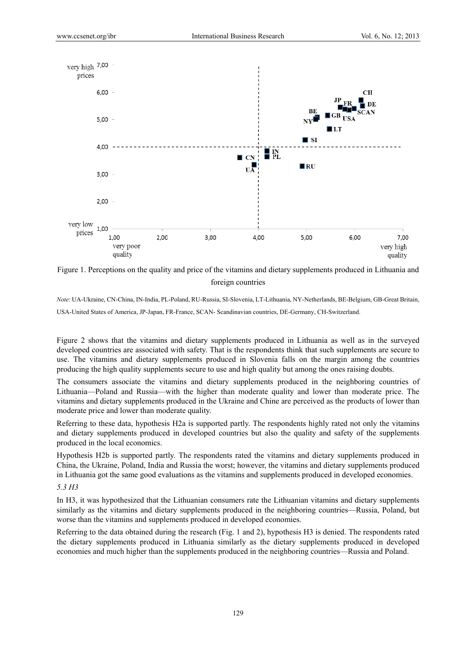

Figure 1. Perceptions on the quality and price of the vitamins and dietary supplements produced in Lithuania and foreign countries

*Note*: UA-Ukraine, CN-China, IN-India, PL-Poland, RU-Russia, SI-Slovenia, LT-Lithuania, NY-Netherlands, BE-Belgium, GB-Great Britain, USA-United States of America, JP-Japan, FR-France, SCAN- Scandinavian countries, DE-Germany, CH-Switzerland.

Figure 2 shows that the vitamins and dietary supplements produced in Lithuania as well as in the surveyed developed countries are associated with safety. That is the respondents think that such supplements are secure to use. The vitamins and dietary supplements produced in Slovenia falls on the margin among the countries producing the high quality supplements secure to use and high quality but among the ones raising doubts.

The consumers associate the vitamins and dietary supplements produced in the neighboring countries of Lithuania—Poland and Russia—with the higher than moderate quality and lower than moderate price. The vitamins and dietary supplements produced in the Ukraine and Chine are perceived as the products of lower than moderate price and lower than moderate quality.

Referring to these data, hypothesis H2a is supported partly. The respondents highly rated not only the vitamins and dietary supplements produced in developed countries but also the quality and safety of the supplements produced in the local economics.

Hypothesis H2b is supported partly. The respondents rated the vitamins and dietary supplements produced in China, the Ukraine, Poland, India and Russia the worst; however, the vitamins and dietary supplements produced in Lithuania got the same good evaluations as the vitamins and supplements produced in developed economies.

# *5.3 H3*

In H3, it was hypothesized that the Lithuanian consumers rate the Lithuanian vitamins and dietary supplements similarly as the vitamins and dietary supplements produced in the neighboring countries—Russia, Poland, but worse than the vitamins and supplements produced in developed economies.

Referring to the data obtained during the research (Fig. 1 and 2), hypothesis H3 is denied. The respondents rated the dietary supplements produced in Lithuania similarly as the dietary supplements produced in developed economies and much higher than the supplements produced in the neighboring countries—Russia and Poland.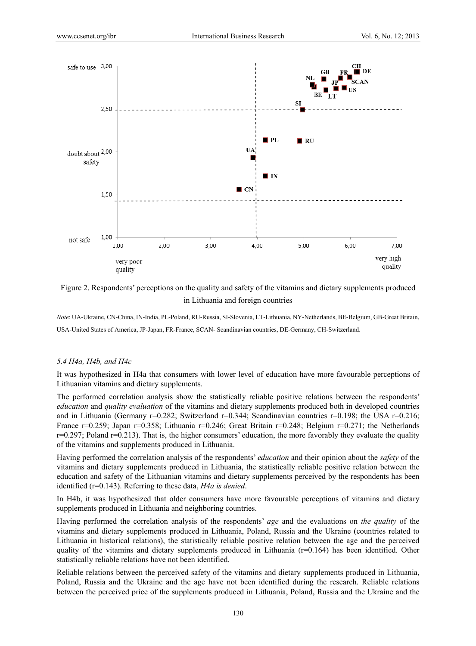

Figure 2. Respondents' perceptions on the quality and safety of the vitamins and dietary supplements produced in Lithuania and foreign countries

*Note*: UA-Ukraine, CN-China, IN-India, PL-Poland, RU-Russia, SI-Slovenia, LT-Lithuania, NY-Netherlands, BE-Belgium, GB-Great Britain, USA-United States of America, JP-Japan, FR-France, SCAN- Scandinavian countries, DE-Germany, CH-Switzerland.

#### *5.4 H4a, H4b, and H4c*

It was hypothesized in H4a that consumers with lower level of education have more favourable perceptions of Lithuanian vitamins and dietary supplements.

The performed correlation analysis show the statistically reliable positive relations between the respondents' *education* and *quality evaluation* of the vitamins and dietary supplements produced both in developed countries and in Lithuania (Germany  $r=0.282$ ; Switzerland  $r=0.344$ ; Scandinavian countries  $r=0.198$ ; the USA  $r=0.216$ ; France r=0.259; Japan r=0.358; Lithuania r=0.246; Great Britain r=0.248; Belgium r=0.271; the Netherlands  $r=0.297$ ; Poland  $r=0.213$ ). That is, the higher consumers' education, the more favorably they evaluate the quality of the vitamins and supplements produced in Lithuania.

Having performed the correlation analysis of the respondents' *education* and their opinion about the *safety* of the vitamins and dietary supplements produced in Lithuania, the statistically reliable positive relation between the education and safety of the Lithuanian vitamins and dietary supplements perceived by the respondents has been identified (r=0.143). Referring to these data, *H4a is denied*.

In H4b, it was hypothesized that older consumers have more favourable perceptions of vitamins and dietary supplements produced in Lithuania and neighboring countries.

Having performed the correlation analysis of the respondents' *age* and the evaluations on *the quality* of the vitamins and dietary supplements produced in Lithuania, Poland, Russia and the Ukraine (countries related to Lithuania in historical relations), the statistically reliable positive relation between the age and the perceived quality of the vitamins and dietary supplements produced in Lithuania  $(r=0.164)$  has been identified. Other statistically reliable relations have not been identified.

Reliable relations between the perceived safety of the vitamins and dietary supplements produced in Lithuania, Poland, Russia and the Ukraine and the age have not been identified during the research. Reliable relations between the perceived price of the supplements produced in Lithuania, Poland, Russia and the Ukraine and the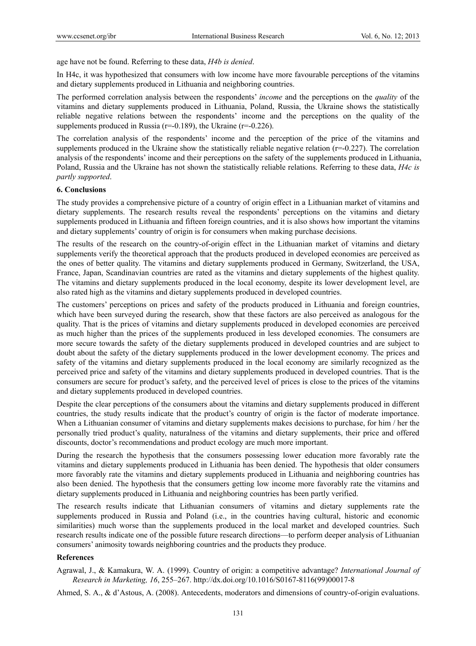age have not be found. Referring to these data, *H4b is denied*.

In H4c, it was hypothesized that consumers with low income have more favourable perceptions of the vitamins and dietary supplements produced in Lithuania and neighboring countries.

The performed correlation analysis between the respondents' *income* and the perceptions on the *quality* of the vitamins and dietary supplements produced in Lithuania, Poland, Russia, the Ukraine shows the statistically reliable negative relations between the respondents' income and the perceptions on the quality of the supplements produced in Russia ( $r=0.189$ ), the Ukraine ( $r=0.226$ ).

The correlation analysis of the respondents' income and the perception of the price of the vitamins and supplements produced in the Ukraine show the statistically reliable negative relation (r=-0.227). The correlation analysis of the respondents' income and their perceptions on the safety of the supplements produced in Lithuania, Poland, Russia and the Ukraine has not shown the statistically reliable relations. Referring to these data, *H4c is partly supported*.

# **6. Conclusions**

The study provides a comprehensive picture of a country of origin effect in a Lithuanian market of vitamins and dietary supplements. The research results reveal the respondents' perceptions on the vitamins and dietary supplements produced in Lithuania and fifteen foreign countries, and it is also shows how important the vitamins and dietary supplements' country of origin is for consumers when making purchase decisions.

The results of the research on the country-of-origin effect in the Lithuanian market of vitamins and dietary supplements verify the theoretical approach that the products produced in developed economies are perceived as the ones of better quality. The vitamins and dietary supplements produced in Germany, Switzerland, the USA, France, Japan, Scandinavian countries are rated as the vitamins and dietary supplements of the highest quality. The vitamins and dietary supplements produced in the local economy, despite its lower development level, are also rated high as the vitamins and dietary supplements produced in developed countries.

The customers' perceptions on prices and safety of the products produced in Lithuania and foreign countries, which have been surveyed during the research, show that these factors are also perceived as analogous for the quality. That is the prices of vitamins and dietary supplements produced in developed economies are perceived as much higher than the prices of the supplements produced in less developed economies. The consumers are more secure towards the safety of the dietary supplements produced in developed countries and are subject to doubt about the safety of the dietary supplements produced in the lower development economy. The prices and safety of the vitamins and dietary supplements produced in the local economy are similarly recognized as the perceived price and safety of the vitamins and dietary supplements produced in developed countries. That is the consumers are secure for product's safety, and the perceived level of prices is close to the prices of the vitamins and dietary supplements produced in developed countries.

Despite the clear perceptions of the consumers about the vitamins and dietary supplements produced in different countries, the study results indicate that the product's country of origin is the factor of moderate importance. When a Lithuanian consumer of vitamins and dietary supplements makes decisions to purchase, for him / her the personally tried product's quality, naturalness of the vitamins and dietary supplements, their price and offered discounts, doctor's recommendations and product ecology are much more important.

During the research the hypothesis that the consumers possessing lower education more favorably rate the vitamins and dietary supplements produced in Lithuania has been denied. The hypothesis that older consumers more favorably rate the vitamins and dietary supplements produced in Lithuania and neighboring countries has also been denied. The hypothesis that the consumers getting low income more favorably rate the vitamins and dietary supplements produced in Lithuania and neighboring countries has been partly verified.

The research results indicate that Lithuanian consumers of vitamins and dietary supplements rate the supplements produced in Russia and Poland (i.e., in the countries having cultural, historic and economic similarities) much worse than the supplements produced in the local market and developed countries. Such research results indicate one of the possible future research directions—to perform deeper analysis of Lithuanian consumers' animosity towards neighboring countries and the products they produce.

# **References**

Agrawal, J., & Kamakura, W. A. (1999). Country of origin: a competitive advantage? *International Journal of Research in Marketing, 16*, 255–267. http://dx.doi.org/10.1016/S0167-8116(99)00017-8

Ahmed, S. A., & d'Astous, A. (2008). Antecedents, moderators and dimensions of country-of-origin evaluations.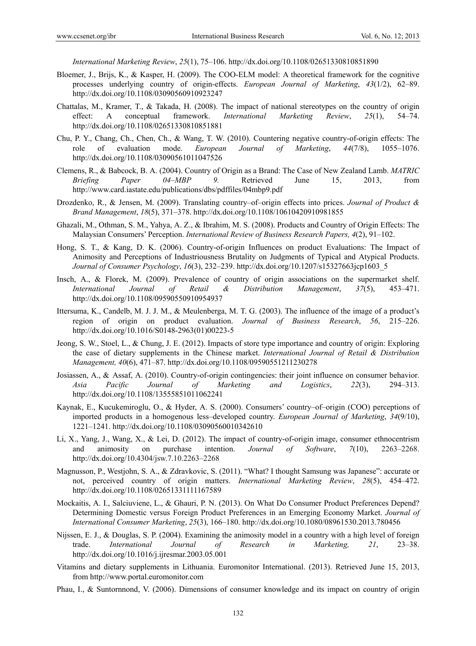*International Marketing Review*, *25*(1), 75–106. http://dx.doi.org/10.1108/02651330810851890

- Bloemer, J., Brijs, K., & Kasper, H. (2009). The COO-ELM model: A theoretical framework for the cognitive processes underlying country of origin-effects. *European Journal of Marketing*, *43*(1/2), 62–89. http://dx.doi.org/10.1108/03090560910923247
- Chattalas, M., Kramer, T., & Takada, H. (2008). The impact of national stereotypes on the country of origin effect: A conceptual framework. *International Marketing Review*, *25*(1), 54–74. http://dx.doi.org/10.1108/02651330810851881
- Chu, P. Y., Chang, Ch., Chen, Ch., & Wang, T. W. (2010). Countering negative country-of-origin effects: The role of evaluation mode. *European Journal of Marketing*, *44*(7/8), 1055–1076. http://dx.doi.org/10.1108/03090561011047526
- Clemens, R., & Babcock, B. A. (2004). Country of Origin as a Brand: The Case of New Zealand Lamb. *MATRIC Briefing Paper 04–MBP 9.* Retrieved June 15, 2013, from http://www.card.iastate.edu/publications/dbs/pdffiles/04mbp9.pdf
- Drozdenko, R., & Jensen, M. (2009). Translating country–of–origin effects into prices. *Journal of Product & Brand Management*, *18*(5), 371–378. http://dx.doi.org/10.1108/10610420910981855
- Ghazali, M., Othman, S. M., Yahya, A. Z., & Ibrahim, M. S. (2008). Products and Country of Origin Effects: The Malaysian Consumers' Perception. *International Review of Business Research Papers, 4*(2), 91–102.
- Hong, S. T., & Kang, D. K. (2006). Country-of-origin Influences on product Evaluations: The Impact of Animosity and Perceptions of Industriousness Brutality on Judgments of Typical and Atypical Products. *Journal of Consumer Psychology*, *16*(3), 232–239. http://dx.doi.org/10.1207/s15327663jcp1603\_5
- Insch, A., & Florek, M. (2009). Prevalence of country of origin associations on the supermarket shelf. *International Journal of Retail & Distribution Management*, *37*(5), 453–471. http://dx.doi.org/10.1108/09590550910954937
- Ittersuma, K., Candelb, M. J. J. M., & Meulenberga, M. T. G. (2003). The influence of the image of a product's region of origin on product evaluation. *Journal of Business Research*, *56*, 215–226. http://dx.doi.org/10.1016/S0148-2963(01)00223-5
- Jeong, S. W., Stoel, L., & Chung, J. E. (2012). Impacts of store type importance and country of origin: Exploring the case of dietary supplements in the Chinese market. *International Journal of Retail & Distribution Management, 40*(6), 471–87. http://dx.doi.org/10.1108/09590551211230278
- Josiassen, A., & Assaf, A. (2010). Country-of-origin contingencies: their joint influence on consumer behavior. *Asia Pacific Journal of Marketing and Logistics*, *22*(3), 294–313. http://dx.doi.org/10.1108/13555851011062241
- Kaynak, E., Kucukemiroglu, O., & Hyder, A. S. (2000). Consumers' country–of–origin (COO) perceptions of imported products in a homogenous less–developed country. *European Journal of Marketing*, *34*(9/10), 1221–1241. http://dx.doi.org/10.1108/03090560010342610
- Li, X., Yang, J., Wang, X., & Lei, D. (2012). The impact of country-of-origin image, consumer ethnocentrism and animosity on purchase intention. *Journal of Software*, *7*(10), 2263–2268. http://dx.doi.org/10.4304/jsw.7.10.2263–2268
- Magnusson, P., Westjohn, S. A., & Zdravkovic, S. (2011). "What? I thought Samsung was Japanese": accurate or not, perceived country of origin matters. *International Marketing Review*, *28*(5), 454–472. http://dx.doi.org/10.1108/02651331111167589
- Mockaitis, A. I., Salciuviene, L., & Ghauri, P. N. (2013). On What Do Consumer Product Preferences Depend? Determining Domestic versus Foreign Product Preferences in an Emerging Economy Market. *Journal of International Consumer Marketing*, *25*(3), 166–180. http://dx.doi.org/10.1080/08961530.2013.780456
- Nijssen, E. J., & Douglas, S. P. (2004). Examining the animosity model in a country with a high level of foreign trade. *International Journal of Research in Marketing, 21*, 23–38. http://dx.doi.org/10.1016/j.ijresmar.2003.05.001
- Vitamins and dietary supplements in Lithuania. Euromonitor International. (2013). Retrieved June 15, 2013, from http://www.portal.euromonitor.com
- Phau, I., & Suntornnond, V. (2006). Dimensions of consumer knowledge and its impact on country of origin